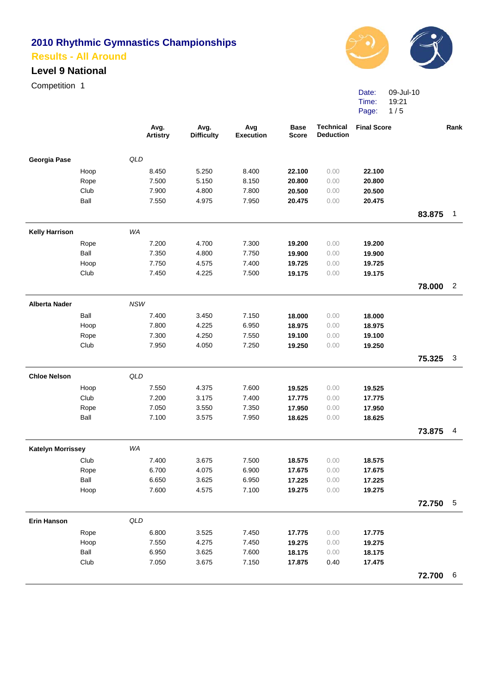## **Level 9 National**

Competition 1



Date: 09-Jul-10 Time: Page: 19:21 1 / 5

|                          |      | Avg.<br><b>Artistry</b> | Avg.<br><b>Difficulty</b> | Avg<br><b>Execution</b> | <b>Base</b><br><b>Score</b> | <b>Technical</b><br><b>Deduction</b> | <b>Final Score</b> |          | Rank           |
|--------------------------|------|-------------------------|---------------------------|-------------------------|-----------------------------|--------------------------------------|--------------------|----------|----------------|
| Georgia Pase             |      | QLD                     |                           |                         |                             |                                      |                    |          |                |
|                          | Hoop | 8.450                   | 5.250                     | 8.400                   | 22.100                      | 0.00                                 | 22.100             |          |                |
|                          | Rope | 7.500                   | 5.150                     | 8.150                   | 20.800                      | 0.00                                 | 20.800             |          |                |
|                          | Club | 7.900                   | 4.800                     | 7.800                   | 20.500                      | 0.00                                 | 20.500             |          |                |
|                          | Ball | 7.550                   | 4.975                     | 7.950                   | 20.475                      | 0.00                                 | 20.475             |          |                |
|                          |      |                         |                           |                         |                             |                                      |                    | 83.875   | $\mathbf{1}$   |
| <b>Kelly Harrison</b>    |      | WA                      |                           |                         |                             |                                      |                    |          |                |
|                          | Rope | 7.200                   | 4.700                     | 7.300                   | 19.200                      | 0.00                                 | 19.200             |          |                |
|                          | Ball | 7.350                   | 4.800                     | 7.750                   | 19.900                      | 0.00                                 | 19.900             |          |                |
|                          | Hoop | 7.750                   | 4.575                     | 7.400                   | 19.725                      | 0.00                                 | 19.725             |          |                |
|                          | Club | 7.450                   | 4.225                     | 7.500                   | 19.175                      | 0.00                                 | 19.175             |          |                |
|                          |      |                         |                           |                         |                             |                                      |                    | 78.000   | $\overline{2}$ |
| <b>Alberta Nader</b>     |      | NSW                     |                           |                         |                             |                                      |                    |          |                |
|                          | Ball | 7.400                   | 3.450                     | 7.150                   | 18.000                      | 0.00                                 | 18.000             |          |                |
|                          | Hoop | 7.800                   | 4.225                     | 6.950                   | 18.975                      | 0.00                                 | 18.975             |          |                |
|                          | Rope | 7.300                   | 4.250                     | 7.550                   | 19.100                      | 0.00                                 | 19.100             |          |                |
|                          | Club | 7.950                   | 4.050                     | 7.250                   | 19.250                      | 0.00                                 | 19.250             |          |                |
|                          |      |                         |                           |                         |                             |                                      |                    | 75.325   | 3              |
| <b>Chloe Nelson</b>      |      | QLD                     |                           |                         |                             |                                      |                    |          |                |
|                          | Hoop | 7.550                   | 4.375                     | 7.600                   | 19.525                      | 0.00                                 | 19.525             |          |                |
|                          | Club | 7.200                   | 3.175                     | 7.400                   | 17.775                      | 0.00                                 | 17.775             |          |                |
|                          | Rope | 7.050                   | 3.550                     | 7.350                   | 17.950                      | 0.00                                 | 17.950             |          |                |
|                          | Ball | 7.100                   | 3.575                     | 7.950                   | 18.625                      | 0.00                                 | 18.625             |          |                |
|                          |      |                         |                           |                         |                             |                                      |                    | 73.875   | $\overline{4}$ |
| <b>Katelyn Morrissey</b> |      | WA                      |                           |                         |                             |                                      |                    |          |                |
|                          | Club | 7.400                   | 3.675                     | 7.500                   | 18.575                      | 0.00                                 | 18.575             |          |                |
|                          | Rope | 6.700                   | 4.075                     | 6.900                   | 17.675                      | 0.00                                 | 17.675             |          |                |
|                          | Ball | 6.650                   | 3.625                     | 6.950                   | 17.225                      | 0.00                                 | 17.225             |          |                |
|                          | Hoop | 7.600                   | 4.575                     | 7.100                   | 19.275                      | 0.00                                 | 19.275             |          |                |
|                          |      |                         |                           |                         |                             |                                      |                    | 72.750 5 |                |
| <b>Erin Hanson</b>       |      | QLD                     |                           |                         |                             |                                      |                    |          |                |
|                          | Rope | 6.800                   | 3.525                     | 7.450                   | 17.775                      | 0.00                                 | 17.775             |          |                |
|                          | Hoop | 7.550                   | 4.275                     | 7.450                   | 19.275                      | 0.00                                 | 19.275             |          |                |
|                          | Ball | 6.950                   | 3.625                     | 7.600                   | 18.175                      | 0.00                                 | 18.175             |          |                |
|                          | Club | 7.050                   | 3.675                     | 7.150                   | 17.875                      | 0.40                                 | 17.475             |          |                |
|                          |      |                         |                           |                         |                             |                                      |                    | 72.700 6 |                |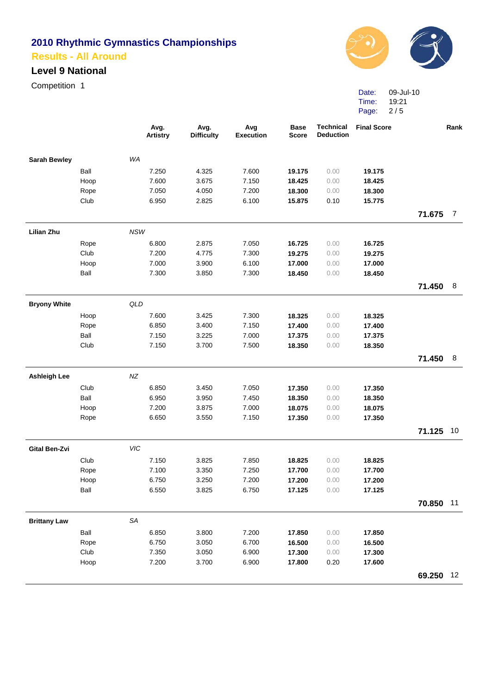## **Level 9 National**

Competition 1



Date: 09-Jul-10 Time: Page: 19:21 2 / 5

|                      |              | Avg.<br><b>Artistry</b> | Avg.<br><b>Difficulty</b> | Avg<br><b>Execution</b> | <b>Base</b><br><b>Score</b> | <b>Technical</b><br><b>Deduction</b> | <b>Final Score</b> |           | Rank           |
|----------------------|--------------|-------------------------|---------------------------|-------------------------|-----------------------------|--------------------------------------|--------------------|-----------|----------------|
| <b>Sarah Bewley</b>  |              | WA                      |                           |                         |                             |                                      |                    |           |                |
|                      | Ball         | 7.250                   | 4.325                     | 7.600                   | 19.175                      | 0.00                                 | 19.175             |           |                |
|                      | Hoop         | 7.600                   | 3.675                     | 7.150                   | 18.425                      | 0.00                                 | 18.425             |           |                |
|                      | Rope         | 7.050                   | 4.050                     | 7.200                   | 18.300                      | 0.00                                 | 18.300             |           |                |
|                      | Club         | 6.950                   | 2.825                     | 6.100                   | 15.875                      | 0.10                                 | 15.775             |           |                |
|                      |              |                         |                           |                         |                             |                                      |                    | 71.675    | $\overline{7}$ |
| <b>Lilian Zhu</b>    |              | <b>NSW</b>              |                           |                         |                             |                                      |                    |           |                |
|                      | Rope         | 6.800                   | 2.875                     | 7.050                   | 16.725                      | 0.00                                 | 16.725             |           |                |
|                      | Club         | 7.200                   | 4.775                     | 7.300                   | 19.275                      | 0.00                                 | 19.275             |           |                |
|                      | Hoop         | 7.000                   | 3.900                     | 6.100                   | 17.000                      | 0.00                                 | 17.000             |           |                |
|                      | Ball         | 7.300                   | 3.850                     | 7.300                   | 18.450                      | 0.00                                 | 18.450             |           |                |
|                      |              |                         |                           |                         |                             |                                      |                    | 71.450    | - 8            |
| <b>Bryony White</b>  |              | QLD                     |                           |                         |                             |                                      |                    |           |                |
|                      | Hoop         | 7.600                   | 3.425                     | 7.300                   | 18.325                      | 0.00                                 | 18.325             |           |                |
|                      | Rope         | 6.850                   | 3.400                     | 7.150                   | 17.400                      | 0.00                                 | 17.400             |           |                |
|                      | Ball         | 7.150                   | 3.225                     | 7.000                   | 17.375                      | 0.00                                 | 17.375             |           |                |
|                      | Club         | 7.150                   | 3.700                     | 7.500                   | 18.350                      | 0.00                                 | 18.350             |           |                |
|                      |              |                         |                           |                         |                             |                                      |                    | 71.450    | 8              |
| <b>Ashleigh Lee</b>  |              | NZ                      |                           |                         |                             |                                      |                    |           |                |
|                      | Club         | 6.850                   | 3.450                     | 7.050                   | 17.350                      | 0.00                                 | 17.350             |           |                |
|                      | Ball         | 6.950                   | 3.950                     | 7.450                   | 18.350                      | 0.00                                 | 18.350             |           |                |
|                      | Hoop         | 7.200                   | 3.875                     | 7.000                   | 18.075                      | 0.00                                 | 18.075             |           |                |
|                      | Rope         | 6.650                   | 3.550                     | 7.150                   | 17.350                      | 0.00                                 | 17.350             |           |                |
|                      |              |                         |                           |                         |                             |                                      |                    | 71.125 10 |                |
| <b>Gital Ben-Zvi</b> |              | VIC                     |                           |                         |                             |                                      |                    |           |                |
|                      | Club         | 7.150                   | 3.825                     | 7.850                   | 18.825                      | 0.00                                 | 18.825             |           |                |
|                      | Rope         | 7.100                   | 3.350                     | 7.250                   | 17.700                      | 0.00                                 | 17.700             |           |                |
|                      | Hoop         | 6.750                   | 3.250                     | 7.200                   | 17.200                      | 0.00                                 | 17.200             |           |                |
|                      | Ball         | 6.550                   | 3.825                     | 6.750                   | 17.125                      | 0.00                                 | 17.125             |           |                |
|                      |              |                         |                           |                         |                             |                                      |                    | 70.850 11 |                |
| <b>Brittany Law</b>  |              | SA                      |                           |                         |                             |                                      |                    |           |                |
|                      | Ball         | 6.850                   | 3.800                     | 7.200                   | 17.850                      | 0.00                                 | 17.850             |           |                |
|                      | Rope         | 6.750                   | 3.050                     | 6.700                   | 16.500                      | 0.00                                 | 16.500             |           |                |
|                      | Club<br>Hoop | 7.350<br>7.200          | 3.050<br>3.700            | 6.900<br>6.900          | 17.300                      | 0.00<br>0.20                         | 17.300             |           |                |
|                      |              |                         |                           |                         | 17.800                      |                                      | 17.600             |           | 12             |
|                      |              |                         |                           |                         |                             |                                      |                    | 69.250    |                |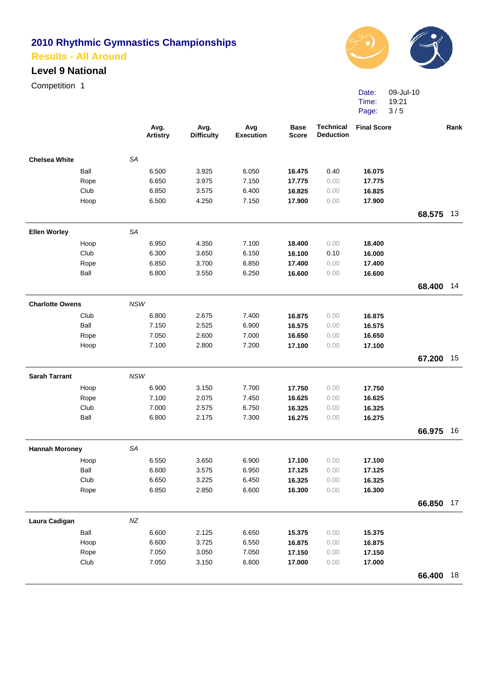#### **Level 9 National**

Competition 1



Date: 09-Jul-10 Time: Page: 19:21 3 / 5

|                        |            | Avg.<br><b>Artistry</b> | Avg.<br><b>Difficulty</b> | Avg<br><b>Execution</b> | <b>Base</b><br><b>Score</b> | <b>Technical</b><br><b>Deduction</b> | <b>Final Score</b> |           | Rank |
|------------------------|------------|-------------------------|---------------------------|-------------------------|-----------------------------|--------------------------------------|--------------------|-----------|------|
| <b>Chelsea White</b>   | <b>SA</b>  |                         |                           |                         |                             |                                      |                    |           |      |
| Ball                   |            | 6.500                   | 3.925                     | 6.050                   | 16.475                      | 0.40                                 | 16.075             |           |      |
| Rope                   |            | 6.650                   | 3.975                     | 7.150                   | 17.775                      | 0.00                                 | 17.775             |           |      |
| Club                   |            | 6.850                   | 3.575                     | 6.400                   | 16.825                      | 0.00                                 | 16.825             |           |      |
| Hoop                   |            | 6.500                   | 4.250                     | 7.150                   | 17.900                      | 0.00                                 | 17.900             |           |      |
|                        |            |                         |                           |                         |                             |                                      |                    | 68.575    | 13   |
| <b>Ellen Worley</b>    | <b>SA</b>  |                         |                           |                         |                             |                                      |                    |           |      |
| Hoop                   |            | 6.950                   | 4.350                     | 7.100                   | 18.400                      | 0.00                                 | 18.400             |           |      |
| Club                   |            | 6.300                   | 3.650                     | 6.150                   | 16.100                      | 0.10                                 | 16.000             |           |      |
| Rope                   |            | 6.850                   | 3.700                     | 6.850                   | 17.400                      | 0.00                                 | 17.400             |           |      |
| Ball                   |            | 6.800                   | 3.550                     | 6.250                   | 16.600                      | 0.00                                 | 16.600             |           |      |
|                        |            |                         |                           |                         |                             |                                      |                    | 68.400 14 |      |
| <b>Charlotte Owens</b> | <b>NSW</b> |                         |                           |                         |                             |                                      |                    |           |      |
| Club                   |            | 6.800                   | 2.675                     | 7.400                   | 16.875                      | 0.00                                 | 16.875             |           |      |
| Ball                   |            | 7.150                   | 2.525                     | 6.900                   | 16.575                      | 0.00                                 | 16.575             |           |      |
| Rope                   |            | 7.050                   | 2.600                     | 7.000                   | 16.650                      | 0.00                                 | 16.650             |           |      |
| Hoop                   |            | 7.100                   | 2.800                     | 7.200                   | 17.100                      | 0.00                                 | 17.100             |           |      |
|                        |            |                         |                           |                         |                             |                                      |                    | 67.200    | 15   |
| <b>Sarah Tarrant</b>   | <b>NSW</b> |                         |                           |                         |                             |                                      |                    |           |      |
| Hoop                   |            | 6.900                   | 3.150                     | 7.700                   | 17.750                      | 0.00                                 | 17.750             |           |      |
| Rope                   |            | 7.100                   | 2.075                     | 7.450                   | 16.625                      | 0.00                                 | 16.625             |           |      |
| Club                   |            | 7.000                   | 2.575                     | 6.750                   | 16.325                      | 0.00                                 | 16.325             |           |      |
| Ball                   |            | 6.800                   | 2.175                     | 7.300                   | 16.275                      | 0.00                                 | 16.275             |           |      |
|                        |            |                         |                           |                         |                             |                                      |                    | 66.975    | 16   |
| <b>Hannah Moroney</b>  | SA         |                         |                           |                         |                             |                                      |                    |           |      |
| Hoop                   |            | 6.550                   | 3.650                     | 6.900                   | 17.100                      | 0.00                                 | 17.100             |           |      |
| Ball                   |            | 6.600                   | 3.575                     | 6.950                   | 17.125                      | 0.00                                 | 17.125             |           |      |
| Club                   |            | 6.650                   | 3.225                     | 6.450                   | 16.325                      | 0.00                                 | 16.325             |           |      |
| Rope                   |            | 6.850                   | 2.850                     | 6.600                   | 16.300                      | 0.00                                 | 16.300             |           |      |
|                        |            |                         |                           |                         |                             |                                      |                    | 66.850    | 17   |
| Laura Cadigan          | $N\!Z$     |                         |                           |                         |                             |                                      |                    |           |      |
| Ball                   |            | 6.600                   | 2.125                     | 6.650                   | 15.375                      | 0.00                                 | 15.375             |           |      |
| Hoop                   |            | 6.600                   | 3.725                     | 6.550                   | 16.875                      | 0.00                                 | 16.875             |           |      |
| Rope                   |            | 7.050                   | 3.050                     | 7.050                   | 17.150                      | 0.00                                 | 17.150             |           |      |
| Club                   |            | 7.050                   | 3.150                     | 6.800                   | 17.000                      | 0.00                                 | 17.000             |           |      |
|                        |            |                         |                           |                         |                             |                                      |                    | 66.400 18 |      |
|                        |            |                         |                           |                         |                             |                                      |                    |           |      |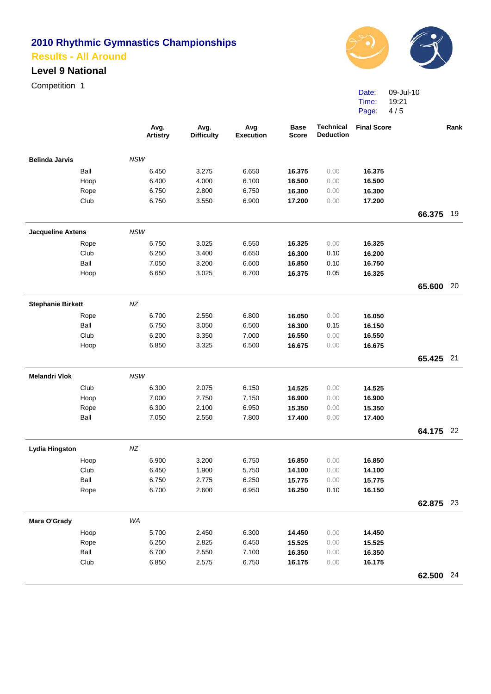## **Level 9 National**

Competition 1



Date: Time: Page: 09-Jul-10 19:21 4 / 5

|                          |      | Avg.<br><b>Artistry</b> | Avg.<br><b>Difficulty</b> | Avg<br><b>Execution</b> | <b>Base</b><br><b>Score</b> | <b>Technical</b><br><b>Deduction</b> | <b>Final Score</b> |           | Rank |
|--------------------------|------|-------------------------|---------------------------|-------------------------|-----------------------------|--------------------------------------|--------------------|-----------|------|
| <b>Belinda Jarvis</b>    |      | <b>NSW</b>              |                           |                         |                             |                                      |                    |           |      |
|                          | Ball | 6.450                   | 3.275                     | 6.650                   | 16.375                      | 0.00                                 | 16.375             |           |      |
|                          | Hoop | 6.400                   | 4.000                     | 6.100                   | 16.500                      | 0.00                                 | 16.500             |           |      |
|                          | Rope | 6.750                   | 2.800                     | 6.750                   | 16.300                      | 0.00                                 | 16.300             |           |      |
|                          | Club | 6.750                   | 3.550                     | 6.900                   | 17.200                      | 0.00                                 | 17.200             |           |      |
|                          |      |                         |                           |                         |                             |                                      |                    | 66.375    | 19   |
| <b>Jacqueline Axtens</b> |      | <b>NSW</b>              |                           |                         |                             |                                      |                    |           |      |
|                          | Rope | 6.750                   | 3.025                     | 6.550                   | 16.325                      | 0.00                                 | 16.325             |           |      |
|                          | Club | 6.250                   | 3.400                     | 6.650                   | 16.300                      | 0.10                                 | 16.200             |           |      |
|                          | Ball | 7.050                   | 3.200                     | 6.600                   | 16.850                      | 0.10                                 | 16.750             |           |      |
|                          | Hoop | 6.650                   | 3.025                     | 6.700                   | 16.375                      | 0.05                                 | 16.325             |           |      |
|                          |      |                         |                           |                         |                             |                                      |                    | 65.600    | 20   |
| <b>Stephanie Birkett</b> |      | NZ                      |                           |                         |                             |                                      |                    |           |      |
|                          | Rope | 6.700                   | 2.550                     | 6.800                   | 16.050                      | 0.00                                 | 16.050             |           |      |
|                          | Ball | 6.750                   | 3.050                     | 6.500                   | 16.300                      | 0.15                                 | 16.150             |           |      |
|                          | Club | 6.200                   | 3.350                     | 7.000                   | 16.550                      | 0.00                                 | 16.550             |           |      |
|                          | Hoop | 6.850                   | 3.325                     | 6.500                   | 16.675                      | 0.00                                 | 16.675             |           |      |
|                          |      |                         |                           |                         |                             |                                      |                    | 65.425 21 |      |
| <b>Melandri Vlok</b>     |      | <b>NSW</b>              |                           |                         |                             |                                      |                    |           |      |
|                          | Club | 6.300                   | 2.075                     | 6.150                   | 14.525                      | 0.00                                 | 14.525             |           |      |
|                          | Hoop | 7.000                   | 2.750                     | 7.150                   | 16.900                      | 0.00                                 | 16.900             |           |      |
|                          | Rope | 6.300                   | 2.100                     | 6.950                   | 15.350                      | 0.00                                 | 15.350             |           |      |
|                          | Ball | 7.050                   | 2.550                     | 7.800                   | 17.400                      | 0.00                                 | 17.400             |           |      |
|                          |      |                         |                           |                         |                             |                                      |                    | 64.175 22 |      |
| <b>Lydia Hingston</b>    |      | NZ                      |                           |                         |                             |                                      |                    |           |      |
|                          | Hoop | 6.900                   | 3.200                     | 6.750                   | 16.850                      | 0.00                                 | 16.850             |           |      |
|                          | Club | 6.450                   | 1.900                     | 5.750                   | 14.100                      | 0.00                                 | 14.100             |           |      |
|                          | Ball | 6.750                   | 2.775                     | 6.250                   | 15.775                      | 0.00                                 | 15.775             |           |      |
|                          | Rope | 6.700                   | 2.600                     | 6.950                   | 16.250                      | 0.10                                 | 16.150             |           |      |
|                          |      |                         |                           |                         |                             |                                      |                    | 62.875 23 |      |
| Mara O'Grady             |      | WA                      |                           |                         |                             |                                      |                    |           |      |
|                          | Hoop | 5.700                   | 2.450                     | 6.300                   | 14.450                      | 0.00                                 | 14.450             |           |      |
|                          | Rope | 6.250                   | 2.825                     | 6.450                   | 15.525                      | 0.00                                 | 15.525             |           |      |
|                          | Ball | 6.700                   | 2.550                     | 7.100                   | 16.350                      | 0.00                                 | 16.350             |           |      |
|                          | Club | 6.850                   | 2.575                     | 6.750                   | 16.175                      | 0.00                                 | 16.175             |           |      |
|                          |      |                         |                           |                         |                             |                                      |                    | 62.500 24 |      |